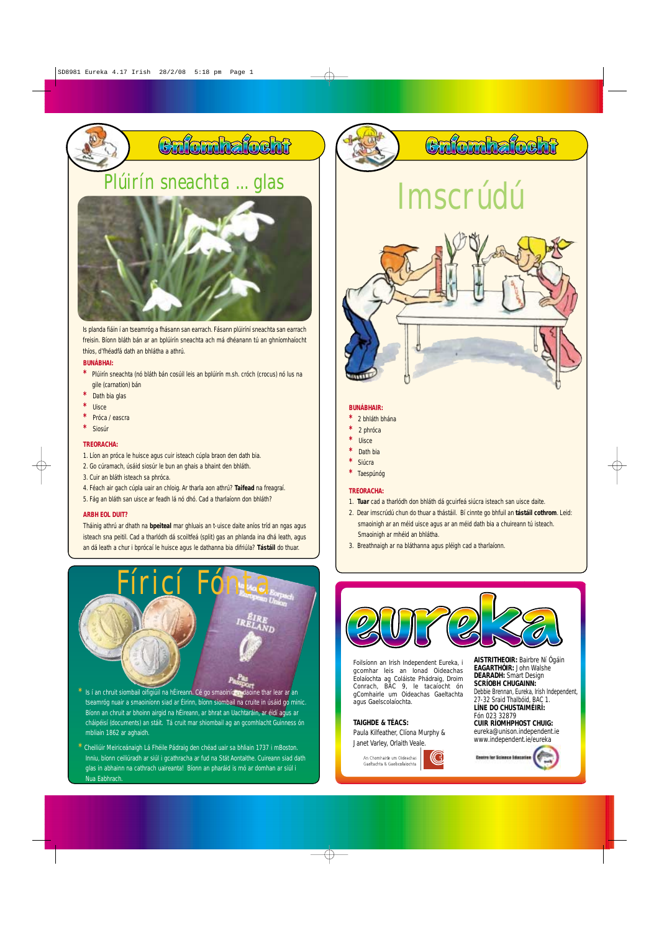# **BUNÁBHAI:**

- **\*** Plúirín sneachta (nó bláth bán cosúil leis an bplúirín m.sh. cróch (crocus) nó lus na gile (carnation) bán
- **\*** Dath bia glas
- **\*** Uisce
- **\*** Próca / eascra
- **\*** Siosúr

# **TREORACHA:**

- 1. Líon an próca le huisce agus cuir isteach cúpla braon den dath bia.
- 2. Go cúramach, úsáid siosúr le bun an ghais a bhaint den bhláth.
- 3. Cuir an bláth isteach sa phróca.
- 4. Féach air gach cúpla uair an chloig. Ar tharla aon athrú? **Taifead** na freagraí.
- 5. Fág an bláth san uisce ar feadh lá nó dhó. Cad a tharlaíonn don bhláth?

## **ARBH EOL DUIT?**

Tháinig athrú ar dhath na **bpeiteal** mar ghluais an t-uisce daite aníos tríd an ngas agus isteach sna peitil. Cad a tharlódh dá scoiltfeá (split) gas an phlanda ina dhá leath, agus an dá leath a chur i bprócaí le huisce agus le dathanna bia difriúla? **Tástáil** do thuar.

# **BUNÁBHAIR:**

- **\*** 2 bhláth bhána
- **\*** 2 phróca
- **\*** Uisce
- **\*** Dath bia
- **\*** Siúcra
- **\*** Taespúnóg

# **TREORACHA:**

- 1. **Tuar** cad a tharlódh don bhláth dá gcuirfeá siúcra isteach san uisce daite.
- 2. Dear imscrúdú chun do thuar a thástáil. Bí cinnte go bhfuil an **tástáil cothrom**. Leid: smaoinigh ar an méid uisce agus ar an méid dath bia a chuireann tú isteach. Smaoinigh ar mhéid an bhlátha.
- 3. Breathnaigh ar na bláthanna agus pléigh cad a tharlaíonn.



# Plúirín sneachta ... glas

Cafomhafocht



Is planda fiáin í an tseamróg a fhásann san earrach. Fásann plúiríní sneachta san earrach freisin. Bíonn bláth bán ar an bplúirín sneachta ach má dhéanann tú an ghníomhaíocht thíos, d'fhéadfá dath an bhlátha a athrú.

Bíonn an chruit ar bhoinn airgid na hÉireann, ar bhrat an Uachtaráin, ar éidí agus ar cháipéisí (documents) an stáit. Tá cruit mar shiombail ag an gcomhlacht Guinness ón mbliain 1862 ar aghaidh.



ta<br>Sa nuair a smaoiníonn siad ar Éirinn, bíonn



# Cafornhafocht

**\*** Cheiliúir Meiriceánaigh Lá Fhéile Pádraig den chéad uair sa bhliain 1737 i mBoston. Inniu, bíonn ceiliúradh ar siúl i gcathracha ar fud na Stát Aontaithe. Cuireann siad dath glas in abhainn na cathrach uaireanta! Bíonn an pharáid is mó ar domhan ar siúl i Nua Eabhrach.

# Imscrúdú



# **TAIGHDE & TÉACS:**

Paula Kilfeather, Clíona Murphy & Janet Varley, Orlaith Veale.



**AISTRITHEOIR:** Bairbre Ní Ógáin **EAGARTHÓIR:** John Walshe **DEARADH:** Smart Design **SCRÍOBH CHUGAINN:** Debbie Brennan, Eureka, Irish Independent, 27-32 Sraid Thalbóid, BAC 1.

### **LÍNE DO CHUSTAIMÉIRÍ:** Fón 023 32879 **CUIR RÍOMHPHOST CHUIG:** eureka@unison.independent.ie www.independent.ie/eureka





Foilsíonn an Irish Independent Eureka, i gcomhar leis an Ionad Oideachas Eolaíochta ag Coláiste Phádraig, Droim Conrach, BÁC 9, le tacaíocht ón gComhairle um Oideachas Gaeltachta agus Gaelscolaíochta.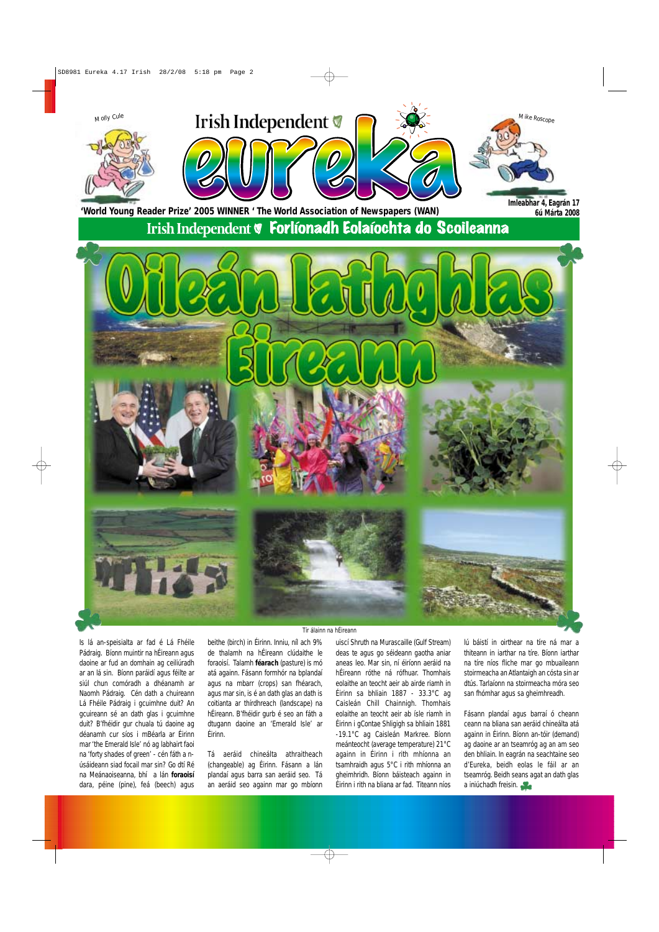Is lá an-speisialta ar fad é Lá Fhéile Pádraig. Bíonn muintir na hÉireann agus daoine ar fud an domhain ag ceiliúradh ar an lá sin. Bíonn paráidí agus féilte ar siúl chun comóradh a dhéanamh ar Naomh Pádraig. Cén dath a chuireann Lá Fhéile Pádraig i gcuimhne duit? An gcuireann sé an dath glas i gcuimhne duit? B'fhéidir gur chuala tú daoine ag déanamh cur síos i mBéarla ar Éirinn mar 'the Emerald Isle' nó ag labhairt faoi na 'forty shades of green' - cén fáth a núsáideann siad focail mar sin? Go dtí Ré na Meánaoiseanna, bhí a lán **foraoisí** dara, péine (pine), feá (beech) agus

beithe (birch) in Éirinn. Inniu, níl ach 9% de thalamh na hÉireann clúdaithe le foraoisí. Talamh **féarach** (pasture) is mó atá againn. Fásann formhór na bplandaí agus na mbarr (crops) san fhéarach, agus mar sin, is é an dath glas an dath is coitianta ar thírdhreach (landscape) na hÉireann. B'fhéidir gurb é seo an fáth a dtugann daoine an 'Emerald Isle' ar Éirinn.

Tá aeráid chineálta athraitheach (changeable) ag Éirinn. Fásann a lán plandaí agus barra san aeráid seo. Tá an aeráid seo againn mar go mbíonn uiscí Shruth na Murascaille (Gulf Stream) deas te agus go séideann gaotha aniar aneas leo. Mar sin, ní éiríonn aeráid na hÉireann róthe ná rófhuar. Thomhais eolaithe an teocht aeir ab airde riamh in Éirinn sa bhliain 1887 - 33.3°C ag Caisleán Chill Chainnigh. Thomhais eolaithe an teocht aeir ab ísle riamh in Éirinn i gContae Shligigh sa bhliain 1881 -19.1°C ag Caisleán Markree. Bíonn meánteocht (average temperature) 21°C againn in Éirinn i rith mhíonna an tsamhraidh agus 5°C i rith mhíonna an gheimhridh. Bíonn báisteach againn in Éirinn i rith na bliana ar fad. Titeann níos lú báistí in oirthear na tíre ná mar a thiteann in iarthar na tíre. Bíonn iarthar na tíre níos fliche mar go mbuaileann stoirmeacha an Atlantaigh an cósta sin ar dtús. Tarlaíonn na stoirmeacha móra seo san fhómhar agus sa gheimhreadh.

Fásann plandaí agus barraí ó cheann ceann na bliana san aeráid chineálta atá againn in Éirinn. Bíonn an-tóir (demand) ag daoine ar an tseamróg ag an am seo den bhliain. In eagrán na seachtaine seo d'Eureka, beidh eolas le fáil ar an tseamróg. Beidh seans agat an dath glas a iniúchadh freisin.



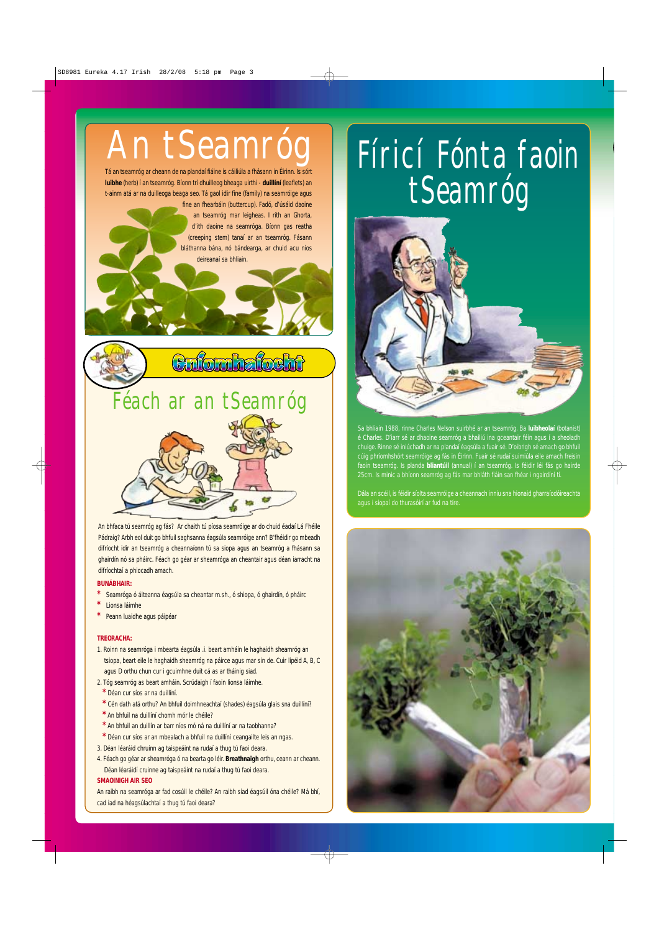## **BUNÁBHAIR:**

- **\*** Seamróga ó áiteanna éagsúla sa cheantar m.sh., ó shiopa, ó ghairdín, ó pháirc
- **\*** Lionsa láimhe
- **\*** Peann luaidhe agus páipéar

#### **TREORACHA:**

- 1. Roinn na seamróga i mbearta éagsúla .i. beart amháin le haghaidh sheamróg an tsiopa, beart eile le haghaidh sheamróg na páirce agus mar sin de. Cuir lipéid A, B, C agus D orthu chun cur i gcuimhne duit cá as ar tháinig siad.
- 2. Tóg seamróg as beart amháin. Scrúdaigh í faoin lionsa láimhe.
- **\*** Déan cur síos ar na duillíní.
- **\*** Cén dath atá orthu? An bhfuil doimhneachtaí (shades) éagsúla glais sna duillíní?
- **\*** An bhfuil na duillíní chomh mór le chéile?
- **\*** An bhfuil an duillín ar barr níos mó ná na duillíní ar na taobhanna?
- **\*** Déan cur síos ar an mbealach a bhfuil na duillíní ceangailte leis an ngas.
- 3. Déan léaráid chruinn ag taispeáint na rudaí a thug tú faoi deara.
- 4. Féach go géar ar sheamróga ó na bearta go léir. **Breathnaigh** orthu, ceann ar cheann. Déan léaráidí cruinne ag taispeáint na rudaí a thug tú faoi deara.

# **SMAOINIGH AIR SEO**

An raibh na seamróga ar fad cosúil le chéile? An raibh siad éagsúil óna chéile? Má bhí, cad iad na héagsúlachtaí a thug tú faoi deara?

An bhfaca tú seamróg ag fás? Ar chaith tú píosa seamróige ar do chuid éadaí Lá Fhéile Pádraig? Arbh eol duit go bhfuil saghsanna éagsúla seamróige ann? B'fhéidir go mbeadh difríocht idir an tseamróg a cheannaíonn tú sa siopa agus an tseamróg a fhásann sa ghairdín nó sa pháirc. Féach go géar ar sheamróga an cheantair agus déan iarracht na difríochtaí a phiocadh amach.

# Féach ar an tSeamróg



Tá an tseamróg ar cheann de na plandaí fiáine is cáiliúla a fhásann in Éirinn. Is sórt **luibhe** (herb) í an tseamróg. Bíonn trí dhuilleog bheaga uirthi - **duillíní** (leaflets) an t-ainm atá ar na duilleoga beaga seo. Tá gaol idir fine (family) na seamróige agus

fine an fhearbáin (buttercup). Fadó, d'úsáid daoine an tseamróg mar leigheas. I rith an Ghorta, d'ith daoine na seamróga. Bíonn gas reatha (creeping stem) tanaí ar an tseamróg. Fásann bláthanna bána, nó bándearga, ar chuid acu níos deireanaí sa bhliain.



# tSeamróg



Sa bhliain 1988, rinne Charles Nelson suirbhé ar an tseamróg. Ba **luibheolaí** (botanist) é Charles. D'iarr sé ar dhaoine seamróg a bhailiú ina gceantair féin agus í a sheoladh chuige. Rinne sé iniúchadh ar na plandaí éagsúla a fuair sé. D'oibrigh sé amach go bhfuil cúig phríomhshórt seamróige ag fás in Éirinn. Fuair sé rudaí suimiúla eile amach freisin faoin tseamróg. Is planda **bliantúil** (annual) í an tseamróg. Is féidir léi fás go hairde 25cm. Is minic a bhíonn seamróg ag fás mar bhláth fiáin san fhéar i ngairdíní tí.

Dála an scéil, is féidir síolta seamróige a cheannach inniu sna hionaid gharraíodóireachta agus i siopaí do thurasóirí ar fud na tíre.



# An tSeamróg Fíricí Fónta faoin